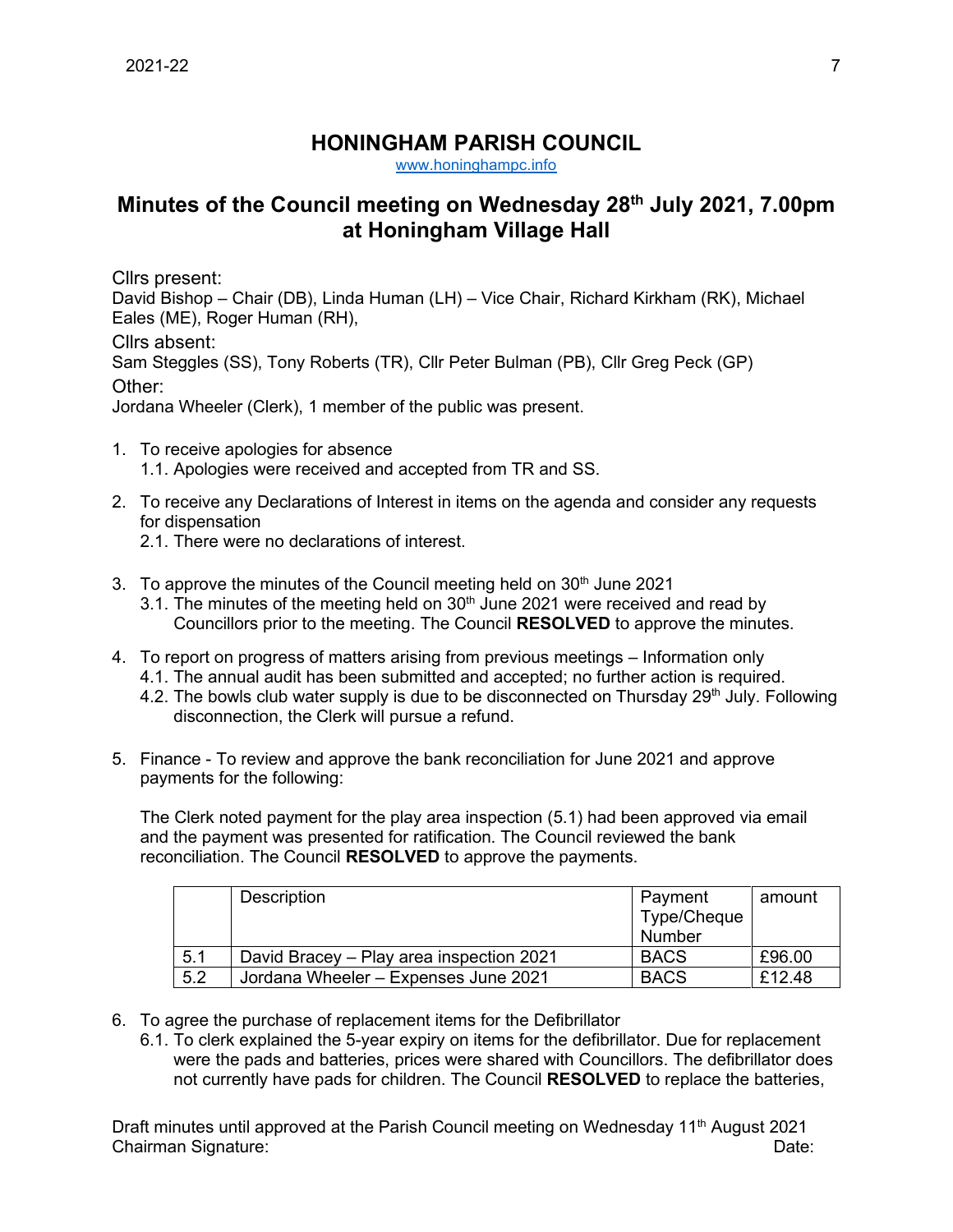## **HONINGHAM PARISH COUNCIL**

[www.honinghampc.info](http://www.honinghampc.info/)

## **Minutes of the Council meeting on Wednesday 28th July 2021, 7.00pm at Honingham Village Hall**

Cllrs present:

David Bishop – Chair (DB), Linda Human (LH) – Vice Chair, Richard Kirkham (RK), Michael Eales (ME), Roger Human (RH),

Cllrs absent:

Sam Steggles (SS), Tony Roberts (TR), Cllr Peter Bulman (PB), Cllr Greg Peck (GP) Other:

Jordana Wheeler (Clerk), 1 member of the public was present.

- 1. To receive apologies for absence 1.1. Apologies were received and accepted from TR and SS.
- 2. To receive any Declarations of Interest in items on the agenda and consider any requests for dispensation
	- 2.1. There were no declarations of interest.
- 3. To approve the minutes of the Council meeting held on  $30<sup>th</sup>$  June 2021
	- 3.1. The minutes of the meeting held on  $30<sup>th</sup>$  June 2021 were received and read by Councillors prior to the meeting. The Council **RESOLVED** to approve the minutes.
- 4. To report on progress of matters arising from previous meetings Information only 4.1. The annual audit has been submitted and accepted; no further action is required.
	- 4.2. The bowls club water supply is due to be disconnected on Thursday 29<sup>th</sup> July. Following disconnection, the Clerk will pursue a refund.
- 5. Finance To review and approve the bank reconciliation for June 2021 and approve payments for the following:

The Clerk noted payment for the play area inspection (5.1) had been approved via email and the payment was presented for ratification. The Council reviewed the bank reconciliation. The Council **RESOLVED** to approve the payments.

|     | Description                              | Payment<br>Type/Cheque<br>Number | amount |
|-----|------------------------------------------|----------------------------------|--------|
| 5.1 | David Bracey – Play area inspection 2021 | <b>BACS</b>                      | £96.00 |
| 5.2 | Jordana Wheeler - Expenses June 2021     | <b>BACS</b>                      | £12.48 |

- 6. To agree the purchase of replacement items for the Defibrillator
	- 6.1. To clerk explained the 5-year expiry on items for the defibrillator. Due for replacement were the pads and batteries, prices were shared with Councillors. The defibrillator does not currently have pads for children. The Council **RESOLVED** to replace the batteries,

Draft minutes until approved at the Parish Council meeting on Wednesday 11<sup>th</sup> August 2021 Chairman Signature: Date: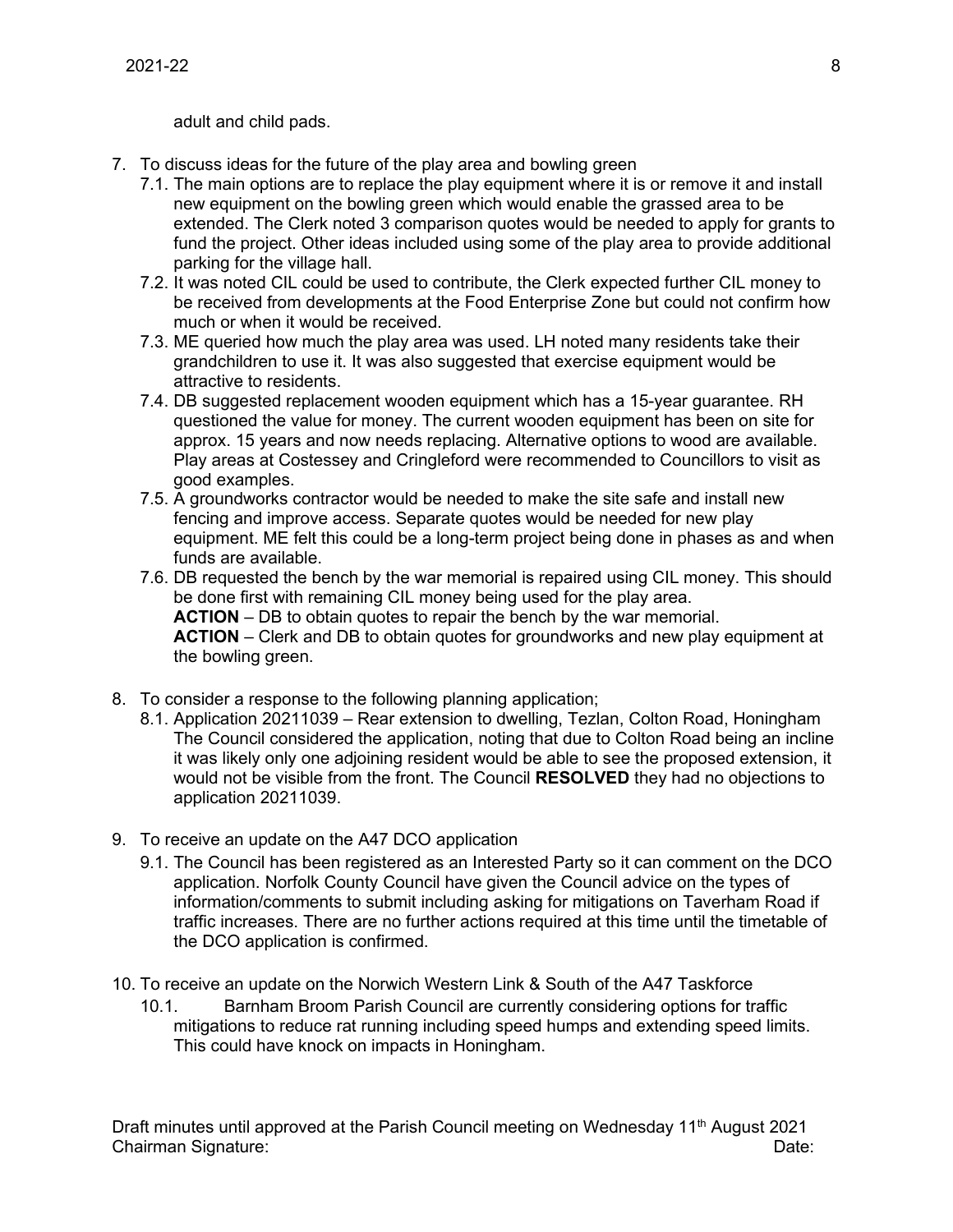adult and child pads.

- 7. To discuss ideas for the future of the play area and bowling green
	- 7.1. The main options are to replace the play equipment where it is or remove it and install new equipment on the bowling green which would enable the grassed area to be extended. The Clerk noted 3 comparison quotes would be needed to apply for grants to fund the project. Other ideas included using some of the play area to provide additional parking for the village hall.
	- 7.2. It was noted CIL could be used to contribute, the Clerk expected further CIL money to be received from developments at the Food Enterprise Zone but could not confirm how much or when it would be received.
	- 7.3. ME queried how much the play area was used. LH noted many residents take their grandchildren to use it. It was also suggested that exercise equipment would be attractive to residents.
	- 7.4. DB suggested replacement wooden equipment which has a 15-year guarantee. RH questioned the value for money. The current wooden equipment has been on site for approx. 15 years and now needs replacing. Alternative options to wood are available. Play areas at Costessey and Cringleford were recommended to Councillors to visit as good examples.
	- 7.5. A groundworks contractor would be needed to make the site safe and install new fencing and improve access. Separate quotes would be needed for new play equipment. ME felt this could be a long-term project being done in phases as and when funds are available.
	- 7.6. DB requested the bench by the war memorial is repaired using CIL money. This should be done first with remaining CIL money being used for the play area. **ACTION** – DB to obtain quotes to repair the bench by the war memorial. **ACTION** – Clerk and DB to obtain quotes for groundworks and new play equipment at the bowling green.
- 8. To consider a response to the following planning application;
	- 8.1. Application 20211039 Rear extension to dwelling, Tezlan, Colton Road, Honingham The Council considered the application, noting that due to Colton Road being an incline it was likely only one adjoining resident would be able to see the proposed extension, it would not be visible from the front. The Council **RESOLVED** they had no objections to application 20211039.
- 9. To receive an update on the A47 DCO application
	- 9.1. The Council has been registered as an Interested Party so it can comment on the DCO application. Norfolk County Council have given the Council advice on the types of information/comments to submit including asking for mitigations on Taverham Road if traffic increases. There are no further actions required at this time until the timetable of the DCO application is confirmed.
- 10. To receive an update on the Norwich Western Link & South of the A47 Taskforce
	- 10.1. Barnham Broom Parish Council are currently considering options for traffic mitigations to reduce rat running including speed humps and extending speed limits. This could have knock on impacts in Honingham.

Draft minutes until approved at the Parish Council meeting on Wednesday 11<sup>th</sup> August 2021 Chairman Signature: Date: